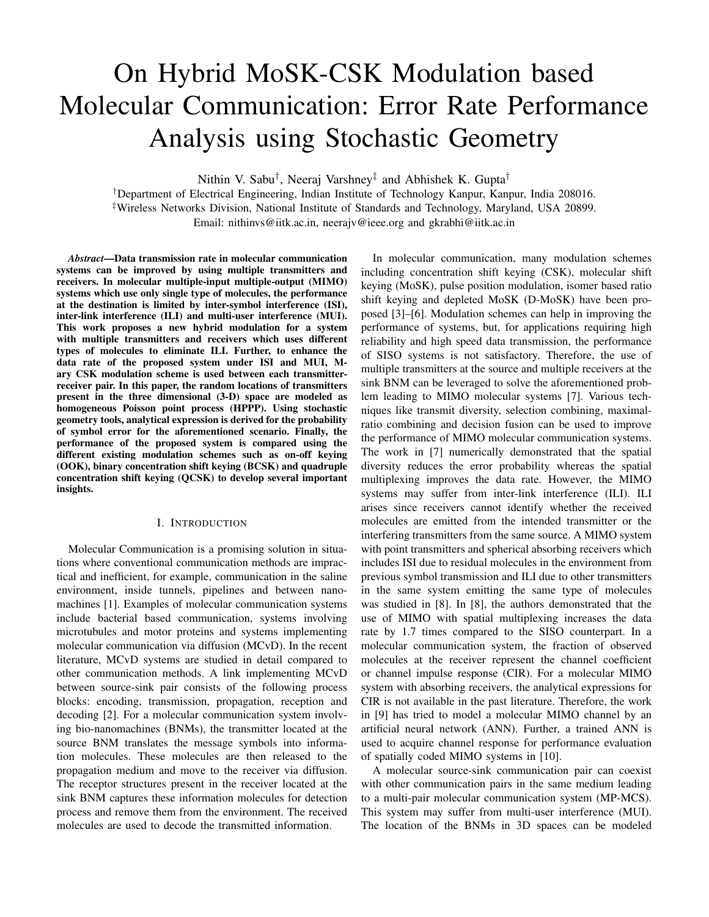# On Hybrid MoSK-CSK Modulation based Molecular Communication: Error Rate Performance Analysis using Stochastic Geometry

Nithin V. Sabu† , Neeraj Varshney‡ and Abhishek K. Gupta†

†Department of Electrical Engineering, Indian Institute of Technology Kanpur, Kanpur, India 208016. ‡Wireless Networks Division, National Institute of Standards and Technology, Maryland, USA 20899.

Email: nithinvs@iitk.ac.in, neerajv@ieee.org and gkrabhi@iitk.ac.in

*Abstract*—Data transmission rate in molecular communication systems can be improved by using multiple transmitters and receivers. In molecular multiple-input multiple-output (MIMO) systems which use only single type of molecules, the performance at the destination is limited by inter-symbol interference (ISI), inter-link interference (ILI) and multi-user interference (MUI). This work proposes a new hybrid modulation for a system with multiple transmitters and receivers which uses different types of molecules to eliminate ILI. Further, to enhance the data rate of the proposed system under ISI and MUI, Mary CSK modulation scheme is used between each transmitterreceiver pair. In this paper, the random locations of transmitters present in the three dimensional (3-D) space are modeled as homogeneous Poisson point process (HPPP). Using stochastic geometry tools, analytical expression is derived for the probability of symbol error for the aforementioned scenario. Finally, the performance of the proposed system is compared using the different existing modulation schemes such as on-off keying (OOK), binary concentration shift keying (BCSK) and quadruple concentration shift keying (QCSK) to develop several important insights.

## I. INTRODUCTION

Molecular Communication is a promising solution in situations where conventional communication methods are impractical and inefficient, for example, communication in the saline environment, inside tunnels, pipelines and between nanomachines [1]. Examples of molecular communication systems include bacterial based communication, systems involving microtubules and motor proteins and systems implementing molecular communication via diffusion (MCvD). In the recent literature, MCvD systems are studied in detail compared to other communication methods. A link implementing MCvD between source-sink pair consists of the following process blocks: encoding, transmission, propagation, reception and decoding [2]. For a molecular communication system involving bio-nanomachines (BNMs), the transmitter located at the source BNM translates the message symbols into information molecules. These molecules are then released to the propagation medium and move to the receiver via diffusion. The receptor structures present in the receiver located at the sink BNM captures these information molecules for detection process and remove them from the environment. The received molecules are used to decode the transmitted information.

In molecular communication, many modulation schemes including concentration shift keying (CSK), molecular shift keying (MoSK), pulse position modulation, isomer based ratio shift keying and depleted MoSK (D-MoSK) have been proposed [3]–[6]. Modulation schemes can help in improving the performance of systems, but, for applications requiring high reliability and high speed data transmission, the performance of SISO systems is not satisfactory. Therefore, the use of multiple transmitters at the source and multiple receivers at the sink BNM can be leveraged to solve the aforementioned problem leading to MIMO molecular systems [7]. Various techniques like transmit diversity, selection combining, maximalratio combining and decision fusion can be used to improve the performance of MIMO molecular communication systems. The work in [7] numerically demonstrated that the spatial diversity reduces the error probability whereas the spatial multiplexing improves the data rate. However, the MIMO systems may suffer from inter-link interference (ILI). ILI arises since receivers cannot identify whether the received molecules are emitted from the intended transmitter or the interfering transmitters from the same source. A MIMO system with point transmitters and spherical absorbing receivers which includes ISI due to residual molecules in the environment from previous symbol transmission and ILI due to other transmitters in the same system emitting the same type of molecules was studied in [8]. In [8], the authors demonstrated that the use of MIMO with spatial multiplexing increases the data rate by 1.7 times compared to the SISO counterpart. In a molecular communication system, the fraction of observed molecules at the receiver represent the channel coefficient or channel impulse response (CIR). For a molecular MIMO system with absorbing receivers, the analytical expressions for CIR is not available in the past literature. Therefore, the work in [9] has tried to model a molecular MIMO channel by an artificial neural network (ANN). Further, a trained ANN is used to acquire channel response for performance evaluation of spatially coded MIMO systems in [10].

A molecular source-sink communication pair can coexist with other communication pairs in the same medium leading to a multi-pair molecular communication system (MP-MCS). This system may suffer from multi-user interference (MUI). The location of the BNMs in 3D spaces can be modeled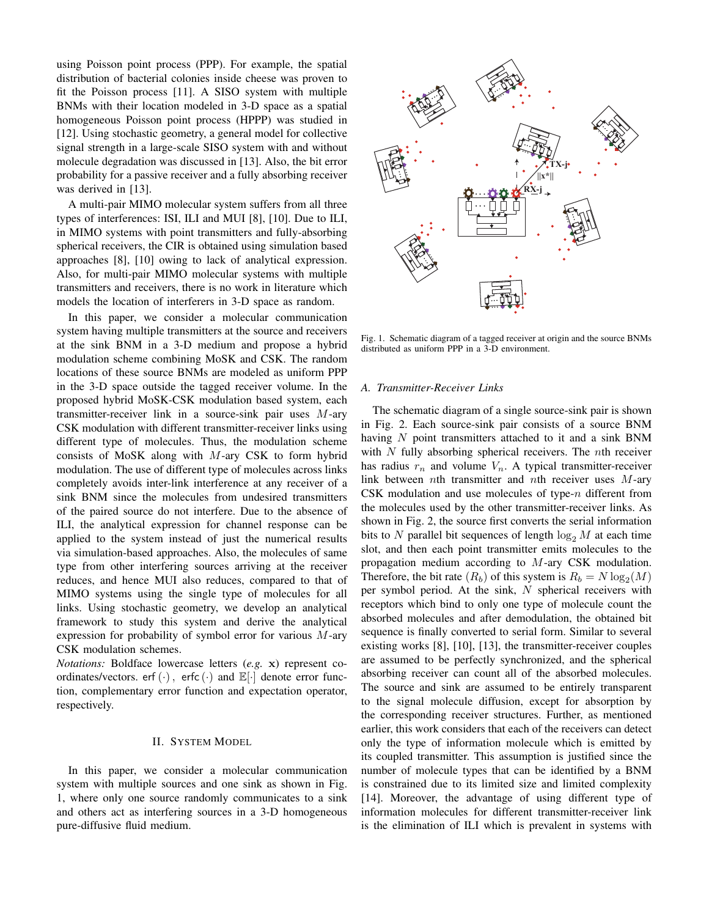using Poisson point process (PPP). For example, the spatial distribution of bacterial colonies inside cheese was proven to fit the Poisson process [11]. A SISO system with multiple BNMs with their location modeled in 3-D space as a spatial homogeneous Poisson point process (HPPP) was studied in [12]. Using stochastic geometry, a general model for collective signal strength in a large-scale SISO system with and without molecule degradation was discussed in [13]. Also, the bit error probability for a passive receiver and a fully absorbing receiver was derived in [13].

A multi-pair MIMO molecular system suffers from all three types of interferences: ISI, ILI and MUI [8], [10]. Due to ILI, in MIMO systems with point transmitters and fully-absorbing spherical receivers, the CIR is obtained using simulation based approaches [8], [10] owing to lack of analytical expression. Also, for multi-pair MIMO molecular systems with multiple transmitters and receivers, there is no work in literature which models the location of interferers in 3-D space as random.

In this paper, we consider a molecular communication system having multiple transmitters at the source and receivers at the sink BNM in a 3-D medium and propose a hybrid modulation scheme combining MoSK and CSK. The random locations of these source BNMs are modeled as uniform PPP in the 3-D space outside the tagged receiver volume. In the proposed hybrid MoSK-CSK modulation based system, each transmitter-receiver link in a source-sink pair uses M-ary CSK modulation with different transmitter-receiver links using different type of molecules. Thus, the modulation scheme consists of MoSK along with M-ary CSK to form hybrid modulation. The use of different type of molecules across links completely avoids inter-link interference at any receiver of a sink BNM since the molecules from undesired transmitters of the paired source do not interfere. Due to the absence of ILI, the analytical expression for channel response can be applied to the system instead of just the numerical results via simulation-based approaches. Also, the molecules of same type from other interfering sources arriving at the receiver reduces, and hence MUI also reduces, compared to that of MIMO systems using the single type of molecules for all links. Using stochastic geometry, we develop an analytical framework to study this system and derive the analytical expression for probability of symbol error for various  $M$ -ary CSK modulation schemes.

*Notations:* Boldface lowercase letters (*e.g.* x) represent coordinates/vectors. erf  $(\cdot)$ , erfc  $(\cdot)$  and  $\mathbb{E}[\cdot]$  denote error function, complementary error function and expectation operator, respectively.

## II. SYSTEM MODEL

In this paper, we consider a molecular communication system with multiple sources and one sink as shown in Fig. 1, where only one source randomly communicates to a sink and others act as interfering sources in a 3-D homogeneous pure-diffusive fluid medium.



Fig. 1. Schematic diagram of a tagged receiver at origin and the source BNMs distributed as uniform PPP in a 3-D environment.

## *A. Transmitter-Receiver Links*

The schematic diagram of a single source-sink pair is shown in Fig. 2. Each source-sink pair consists of a source BNM having  $N$  point transmitters attached to it and a sink BNM with  $N$  fully absorbing spherical receivers. The  $n$ th receiver has radius  $r_n$  and volume  $V_n$ . A typical transmitter-receiver link between nth transmitter and nth receiver uses  $M$ -ary CSK modulation and use molecules of type- $n$  different from the molecules used by the other transmitter-receiver links. As shown in Fig. 2, the source first converts the serial information bits to N parallel bit sequences of length  $\log_2 M$  at each time slot, and then each point transmitter emits molecules to the propagation medium according to M-ary CSK modulation. Therefore, the bit rate  $(R_b)$  of this system is  $R_b = N \log_2(M)$ per symbol period. At the sink,  $N$  spherical receivers with receptors which bind to only one type of molecule count the absorbed molecules and after demodulation, the obtained bit sequence is finally converted to serial form. Similar to several existing works [8], [10], [13], the transmitter-receiver couples are assumed to be perfectly synchronized, and the spherical absorbing receiver can count all of the absorbed molecules. The source and sink are assumed to be entirely transparent to the signal molecule diffusion, except for absorption by the corresponding receiver structures. Further, as mentioned earlier, this work considers that each of the receivers can detect only the type of information molecule which is emitted by its coupled transmitter. This assumption is justified since the number of molecule types that can be identified by a BNM is constrained due to its limited size and limited complexity [14]. Moreover, the advantage of using different type of information molecules for different transmitter-receiver link is the elimination of ILI which is prevalent in systems with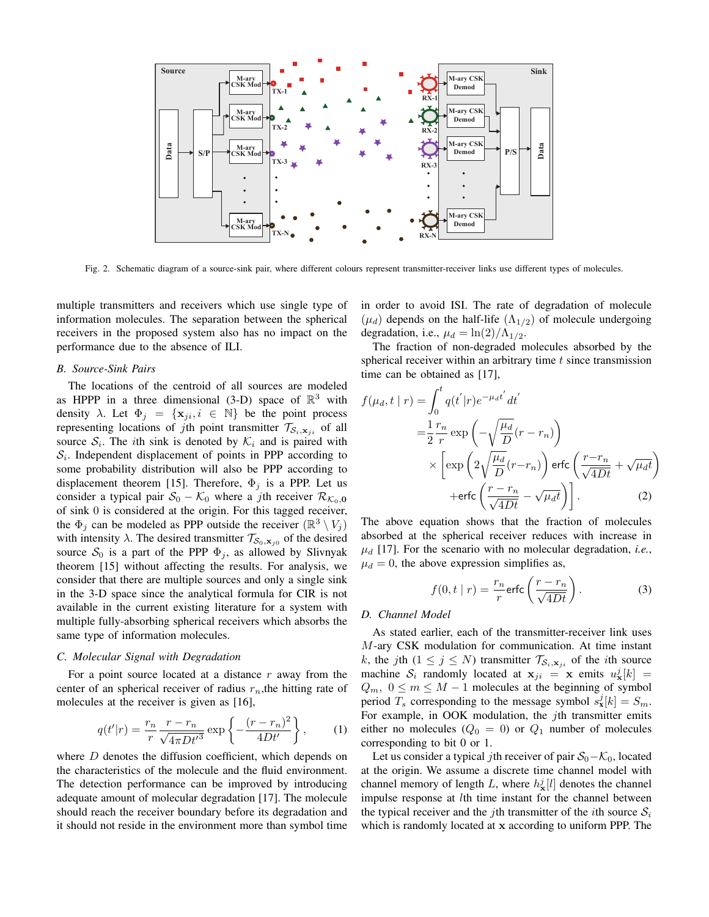

Fig. 2. Schematic diagram of a source-sink pair, where different colours represent transmitter-receiver links use different types of molecules.

multiple transmitters and receivers which use single type of information molecules. The separation between the spherical receivers in the proposed system also has no impact on the performance due to the absence of ILI.

## *B. Source-Sink Pairs*

The locations of the centroid of all sources are modeled as HPPP in a three dimensional (3-D) space of  $\mathbb{R}^3$  with density  $\lambda$ . Let  $\Phi_j = {\mathbf{x}_{ji}, i \in \mathbb{N}}$  be the point process representing locations of jth point transmitter  $\mathcal{T}_{S_i,\mathbf{x}_{ji}}$  of all source  $S_i$ . The *i*th sink is denoted by  $K_i$  and is paired with  $S_i$ . Independent displacement of points in PPP according to some probability distribution will also be PPP according to displacement theorem [15]. Therefore,  $\Phi_j$  is a PPP. Let us consider a typical pair  $S_0 - K_0$  where a jth receiver  $\mathcal{R}_{\mathcal{K}_0,\mathbf{0}}$ of sink 0 is considered at the origin. For this tagged receiver, the  $\Phi_j$  can be modeled as PPP outside the receiver  $(\mathbb{R}^3 \setminus V_j)$ with intensity  $\lambda$ . The desired transmitter  $\mathcal{T}_{\mathcal{S}_0,\mathbf{x}_{j0}}$  of the desired source  $S_0$  is a part of the PPP  $\Phi_j$ , as allowed by Slivnyak theorem [15] without affecting the results. For analysis, we consider that there are multiple sources and only a single sink in the 3-D space since the analytical formula for CIR is not available in the current existing literature for a system with multiple fully-absorbing spherical receivers which absorbs the same type of information molecules.

## *C. Molecular Signal with Degradation*

For a point source located at a distance  $r$  away from the center of an spherical receiver of radius  $r_n$ , the hitting rate of molecules at the receiver is given as [16],

$$
q(t'|r) = \frac{r_n}{r} \frac{r - r_n}{\sqrt{4\pi Dt'^3}} \exp\left\{-\frac{(r - r_n)^2}{4Dt'}\right\},\qquad(1)
$$

where  $D$  denotes the diffusion coefficient, which depends on the characteristics of the molecule and the fluid environment. The detection performance can be improved by introducing adequate amount of molecular degradation [17]. The molecule should reach the receiver boundary before its degradation and it should not reside in the environment more than symbol time in order to avoid ISI. The rate of degradation of molecule  $(\mu_d)$  depends on the half-life  $(\Lambda_{1/2})$  of molecule undergoing degradation, i.e.,  $\mu_d = \ln(2)/\Lambda_{1/2}$ .

The fraction of non-degraded molecules absorbed by the spherical receiver within an arbitrary time  $t$  since transmission time can be obtained as [17],

$$
f(\mu_d, t \mid r) = \int_0^t q(t' \mid r) e^{-\mu_d t'} dt'
$$
  
\n
$$
= \frac{1}{2} \frac{r_n}{r} \exp\left(-\sqrt{\frac{\mu_d}{D}}(r - r_n)\right)
$$
  
\n
$$
\times \left[ \exp\left(2\sqrt{\frac{\mu_d}{D}}(r - r_n)\right) \text{erfc}\left(\frac{r - r_n}{\sqrt{4Dt}} + \sqrt{\mu_d t}\right) + \text{erfc}\left(\frac{r - r_n}{\sqrt{4Dt}} - \sqrt{\mu_d t}\right) \right].
$$
 (2)

The above equation shows that the fraction of molecules absorbed at the spherical receiver reduces with increase in  $\mu_d$  [17]. For the scenario with no molecular degradation, *i.e.*,  $\mu_d = 0$ , the above expression simplifies as,

$$
f(0, t | r) = \frac{r_n}{r} \text{erfc}\left(\frac{r - r_n}{\sqrt{4Dt}}\right).
$$
 (3)

#### *D. Channel Model*

As stated earlier, each of the transmitter-receiver link uses M-ary CSK modulation for communication. At time instant k, the jth  $(1 \le j \le N)$  transmitter  $\mathcal{T}_{\mathcal{S}_i, \mathbf{x}_{ji}}$  of the *i*th source machine  $S_i$  randomly located at  $x_{ji} = x$  emits  $u^j_x[k] =$  $Q_m$ ,  $0 \le m \le M - 1$  molecules at the beginning of symbol period  $T_s$  corresponding to the message symbol  $s_x^j[k] = S_m$ . For example, in OOK modulation, the *j*th transmitter emits either no molecules ( $Q_0 = 0$ ) or  $Q_1$  number of molecules corresponding to bit 0 or 1.

Let us consider a typical jth receiver of pair  $S_0 - K_0$ , located at the origin. We assume a discrete time channel model with channel memory of length L, where  $h_{\mathbf{x}}^{j}[l]$  denotes the channel impulse response at lth time instant for the channel between the typical receiver and the j<sup>th</sup> transmitter of the *i*th source  $S_i$ which is randomly located at x according to uniform PPP. The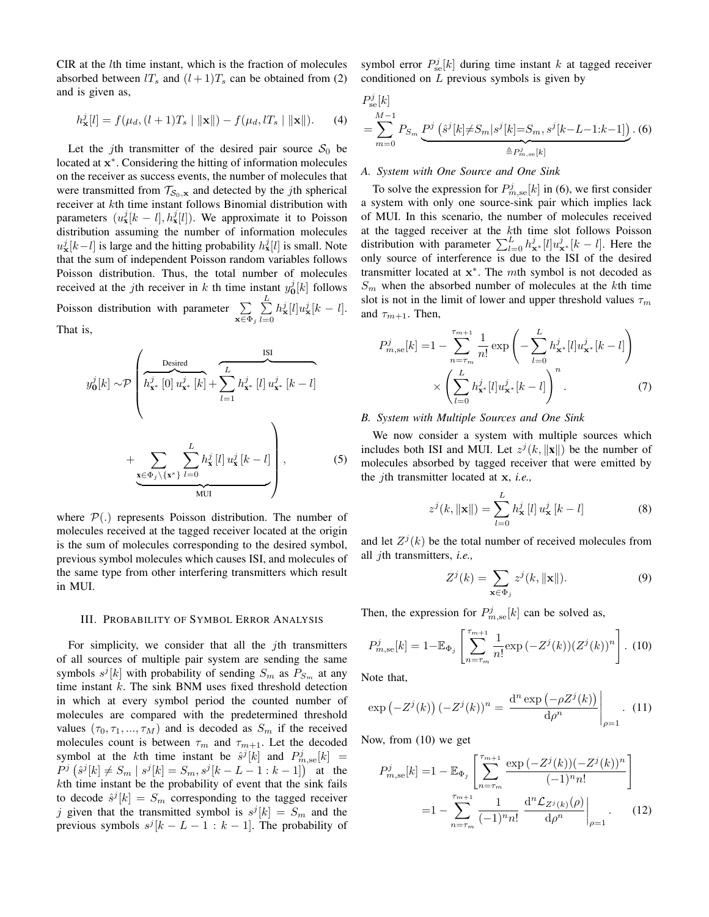$CIR$  at the *l*th time instant, which is the fraction of molecules absorbed between  $l_s$  and  $(l+1)T_s$  can be obtained from (2) and is given as,

$$
h_{\mathbf{x}}^{j}[l] = f(\mu_{d}, (l+1)T_{s} \mid ||\mathbf{x}||) - f(\mu_{d}, lT_{s} \mid ||\mathbf{x}||). \tag{4}
$$

Let the jth transmitter of the desired pair source  $S_0$  be located at x<sup>\*</sup>. Considering the hitting of information molecules on the receiver as success events, the number of molecules that were transmitted from  $\mathcal{T}_{\mathcal{S}_0,\mathbf{x}}$  and detected by the *j*th spherical receiver at kth time instant follows Binomial distribution with parameters  $(u_x^j[k-l], h_x^j[l])$ . We approximate it to Poisson distribution assuming the number of information molecules  $u^j_{\mathbf{x}}[k-l]$  is large and the hitting probability  $h^j_{\mathbf{x}}[l]$  is small. Note that the sum of independent Poisson random variables follows Poisson distribution. Thus, the total number of molecules received at the *j*th receiver in k th time instant  $y_0^j[k]$  follows 0 Poisson distribution with parameter  $\Sigma$  $\mathbf{x} \in \Phi_j$  $\sum^L$  $_{l=0}$  $h_{\mathbf{x}}^j[l]u_{\mathbf{x}}^j[k-l].$ That is,

$$
y_{0}^{j}[k] \sim \mathcal{P}\left(\overbrace{h_{\mathbf{x}^{*}}^{j}[0] u_{\mathbf{x}^{*}}^{j}[k]} + \sum_{l=1}^{L} h_{\mathbf{x}^{*}}^{j}[l] u_{\mathbf{x}^{*}}^{j}[k-l] + \underbrace{\sum_{\mathbf{x} \in \Phi_{j} \setminus \{\mathbf{x}^{*}\}} \sum_{l=0}^{L} h_{\mathbf{x}}^{j}[l] u_{\mathbf{x}}^{j}[k-l]}_{\text{MUI}}\right),
$$
\n(5)

where  $\mathcal{P}(\cdot)$  represents Poisson distribution. The number of molecules received at the tagged receiver located at the origin is the sum of molecules corresponding to the desired symbol, previous symbol molecules which causes ISI, and molecules of the same type from other interfering transmitters which result in MUI.

#### III. PROBABILITY OF SYMBOL ERROR ANALYSIS

For simplicity, we consider that all the  $j$ th transmitters of all sources of multiple pair system are sending the same symbols  $s^{j}[k]$  with probability of sending  $S_m$  as  $P_{S_m}$  at any time instant  $k$ . The sink BNM uses fixed threshold detection in which at every symbol period the counted number of molecules are compared with the predetermined threshold values  $(\tau_0, \tau_1, ..., \tau_M)$  and is decoded as  $S_m$  if the received molecules count is between  $\tau_m$  and  $\tau_{m+1}$ . Let the decoded symbol at the kth time instant be  $\hat{s}^j[k]$  and  $P^j_{m,se}[k] =$  $P^j\left(\hat{s}^j[k] \neq S_m \mid s^j[k] = S_m, s^j[k-L-1:k-1]\right)$  at the kth time instant be the probability of event that the sink fails to decode  $\hat{s}^{j}[k] = S_m$  corresponding to the tagged receiver j given that the transmitted symbol is  $s^j[k] = S_m$  and the previous symbols  $s^{j}[k - L - 1 : k - 1]$ . The probability of

symbol error  $P_{se}^{j}[k]$  during time instant k at tagged receiver conditioned on L previous symbols is given by

$$
P_{\rm se}^{j}[k] = \sum_{m=0}^{M-1} P_{S_m} \underbrace{P^{j} (s^{j}[k] \neq S_m | s^{j}[k] = S_m, s^{j}[k-L-1:k-1])}_{\triangleq P_{m, \rm se}^{j}[k]}.
$$
 (6)

# *A. System with One Source and One Sink*

To solve the expression for  $P_{m,\text{se}}^j[k]$  in (6), we first consider a system with only one source-sink pair which implies lack of MUI. In this scenario, the number of molecules received at the tagged receiver at the kth time slot follows Poisson distribution with parameter  $\sum_{l=0}^{L} h_{\mathbf{x}^*}^j[l]u_{\mathbf{x}^*}^j[k-l]$ . Here the only source of interference is due to the ISI of the desired transmitter located at  $x^*$ . The mth symbol is not decoded as  $S_m$  when the absorbed number of molecules at the kth time slot is not in the limit of lower and upper threshold values  $\tau_m$ and  $\tau_{m+1}$ . Then,

$$
P_{m,\text{se}}^{j}[k] = 1 - \sum_{n=\tau_m}^{\tau_{m+1}} \frac{1}{n!} \exp\left(-\sum_{l=0}^{L} h_{\mathbf{x}^*}^{j}[l] u_{\mathbf{x}^*}^{j}[k-l]\right) \times \left(\sum_{l=0}^{L} h_{\mathbf{x}^*}^{j}[l] u_{\mathbf{x}^*}^{j}[k-l]\right)^{n}.
$$
 (7)

## *B. System with Multiple Sources and One Sink*

We now consider a system with multiple sources which includes both ISI and MUI. Let  $z^{j}(k, ||\mathbf{x}||)$  be the number of molecules absorbed by tagged receiver that were emitted by the jth transmitter located at x, *i.e.,*

$$
z^{j}(k, \|\mathbf{x}\|) = \sum_{l=0}^{L} h_{\mathbf{x}}^{j}[l] u_{\mathbf{x}}^{j}[k-l]
$$
 (8)

and let  $Z^{j}(k)$  be the total number of received molecules from all jth transmitters, *i.e.,*

$$
Z^{j}(k) = \sum_{\mathbf{x} \in \Phi_{j}} z^{j}(k, \|\mathbf{x}\|). \tag{9}
$$

Then, the expression for  $P_{m,\text{se}}^j[k]$  can be solved as,

$$
P_{m,\text{se}}^{j}[k] = 1 - \mathbb{E}_{\Phi_j} \left[ \sum_{n=\tau_m}^{\tau_{m+1}} \frac{1}{n!} \exp\left(-Z^j(k)\right) (Z^j(k))^n \right]. \tag{10}
$$

Note that,

$$
\exp\left(-Z^{j}(k)\right)(-Z^{j}(k))^{n} = \frac{\mathrm{d}^{n}\exp\left(-\rho Z^{j}(k)\right)}{\mathrm{d}\rho^{n}}\bigg|_{\rho=1}.
$$
 (11)

Now, from (10) we get

$$
P_{m,\text{se}}^{j}[k] = 1 - \mathbb{E}_{\Phi_j} \left[ \sum_{n=\tau_m}^{\tau_{m+1}} \frac{\exp(-Z^j(k))(-Z^j(k))^n}{(-1)^n n!} \right]
$$

$$
= 1 - \sum_{n=\tau_m}^{\tau_{m+1}} \frac{1}{(-1)^n n!} \frac{\mathrm{d}^n \mathcal{L}_{Z^j(k)}(\rho)}{\mathrm{d}\rho^n} \bigg|_{\rho=1} . \tag{12}
$$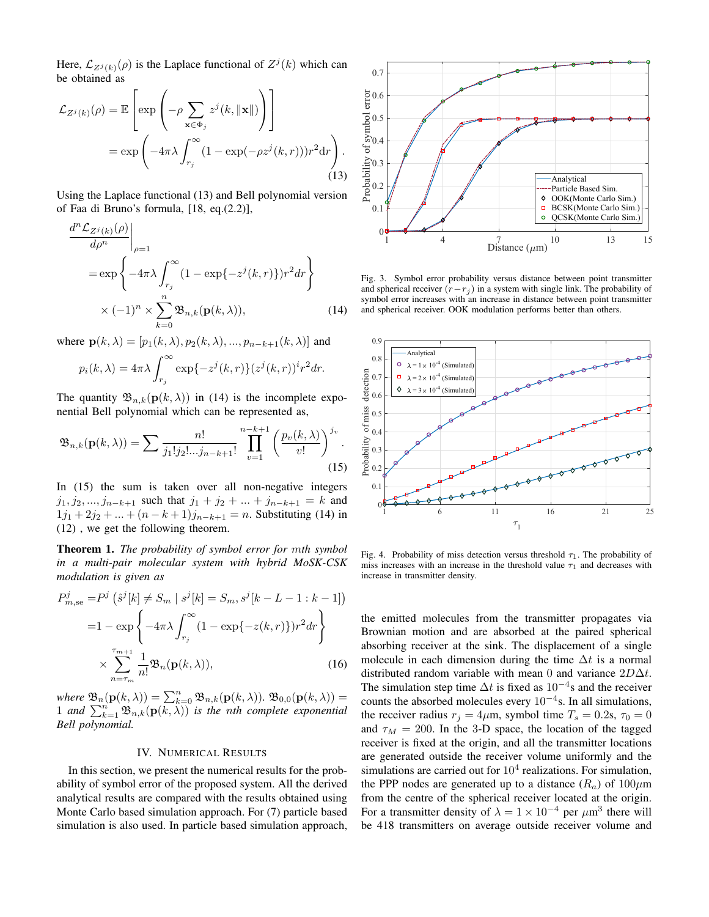Here,  $\mathcal{L}_{Z^{j}(k)}(\rho)$  is the Laplace functional of  $Z^{j}(k)$  which can be obtained as

$$
\mathcal{L}_{Z^{j}(k)}(\rho) = \mathbb{E}\left[\exp\left(-\rho \sum_{\mathbf{x}\in\Phi_{j}} z^{j}(k, \|\mathbf{x}\|)\right)\right]
$$

$$
= \exp\left(-4\pi\lambda \int_{r_{j}}^{\infty} (1 - \exp(-\rho z^{j}(k, r)))r^{2} dr\right).
$$
(13)

Using the Laplace functional (13) and Bell polynomial version of Faa di Bruno's formula, [18, eq.(2.2)],

$$
\frac{d^n \mathcal{L}_{Z^j(k)}(\rho)}{d\rho^n}\Big|_{\rho=1}
$$
  
=  $\exp\left\{-4\pi\lambda \int_{r_j}^{\infty} (1 - \exp\{-z^j(k,r)\}) r^2 dr\right\}$   
 $\times (-1)^n \times \sum_{k=0}^n \mathfrak{B}_{n,k}(\mathbf{p}(k,\lambda)),$  (14)

where  $\mathbf{p}(k, \lambda) = [p_1(k, \lambda), p_2(k, \lambda), ..., p_{n-k+1}(k, \lambda)]$  and

$$
p_i(k,\lambda) = 4\pi\lambda \int_{r_j}^{\infty} \exp\{-z^j(k,r)\}(z^j(k,r))^i r^2 dr.
$$

The quantity  $\mathfrak{B}_{n,k}(\mathbf{p}(k,\lambda))$  in (14) is the incomplete exponential Bell polynomial which can be represented as,

$$
\mathfrak{B}_{n,k}(\mathbf{p}(k,\lambda)) = \sum \frac{n!}{j_1! j_2! \dots j_{n-k+1}!} \prod_{v=1}^{n-k+1} \left( \frac{p_v(k,\lambda)}{v!} \right)^{j_v}.
$$
\n(15)

In (15) the sum is taken over all non-negative integers  $j_1, j_2, ..., j_{n-k+1}$  such that  $j_1 + j_2 + ... + j_{n-k+1} = k$  and  $1j_1 + 2j_2 + ... + (n - k + 1)j_{n-k+1} = n$ . Substituting (14) in (12) , we get the following theorem.

Theorem 1. *The probability of symbol error for* m*th symbol in a multi-pair molecular system with hybrid MoSK-CSK modulation is given as*

$$
P_{m,\text{se}}^{j} = P^{j} \left( \hat{s}^{j}[k] \neq S_{m} \mid s^{j}[k] = S_{m}, s^{j}[k-L-1:k-1] \right)
$$

$$
= 1 - \exp \left\{ -4\pi \lambda \int_{r_{j}}^{\infty} (1 - \exp\{-z(k,r)\}) r^{2} dr \right\}
$$

$$
\times \sum_{n=\tau_{m}}^{\tau_{m+1}} \frac{1}{n!} \mathfrak{B}_{n}(\mathbf{p}(k,\lambda)), \tag{16}
$$

where  $\mathfrak{B}_n(\mathbf{p}(k,\lambda)) = \sum_{k=0}^n \mathfrak{B}_{n,k}(\mathbf{p}(k,\lambda)).$   $\mathfrak{B}_{0,0}(\mathbf{p}(k,\lambda)) =$ 1 and  $\sum_{k=1}^{n} \mathfrak{B}_{n,k}(\mathbf{p}(k,\lambda))$  *is the nth complete exponential Bell polynomial.*

## IV. NUMERICAL RESULTS

In this section, we present the numerical results for the probability of symbol error of the proposed system. All the derived analytical results are compared with the results obtained using Monte Carlo based simulation approach. For (7) particle based simulation is also used. In particle based simulation approach,



Fig. 3. Symbol error probability versus distance between point transmitter and spherical receiver  $(r-r_j)$  in a system with single link. The probability of symbol error increases with an increase in distance between point transmitter and spherical receiver. OOK modulation performs better than others.



Fig. 4. Probability of miss detection versus threshold  $\tau_1$ . The probability of miss increases with an increase in the threshold value  $\tau_1$  and decreases with increase in transmitter density.

the emitted molecules from the transmitter propagates via Brownian motion and are absorbed at the paired spherical absorbing receiver at the sink. The displacement of a single molecule in each dimension during the time  $\Delta t$  is a normal distributed random variable with mean 0 and variance  $2D\Delta t$ . The simulation step time  $\Delta t$  is fixed as  $10^{-4}$ s and the receiver counts the absorbed molecules every  $10^{-4}$ s. In all simulations, the receiver radius  $r_j = 4\mu$ m, symbol time  $T_s = 0.2$ s,  $\tau_0 = 0$ and  $\tau_M = 200$ . In the 3-D space, the location of the tagged receiver is fixed at the origin, and all the transmitter locations are generated outside the receiver volume uniformly and the simulations are carried out for  $10<sup>4</sup>$  realizations. For simulation, the PPP nodes are generated up to a distance  $(R_a)$  of  $100 \mu m$ from the centre of the spherical receiver located at the origin. For a transmitter density of  $\lambda = 1 \times 10^{-4}$  per  $\mu$ m<sup>3</sup> there will be 418 transmitters on average outside receiver volume and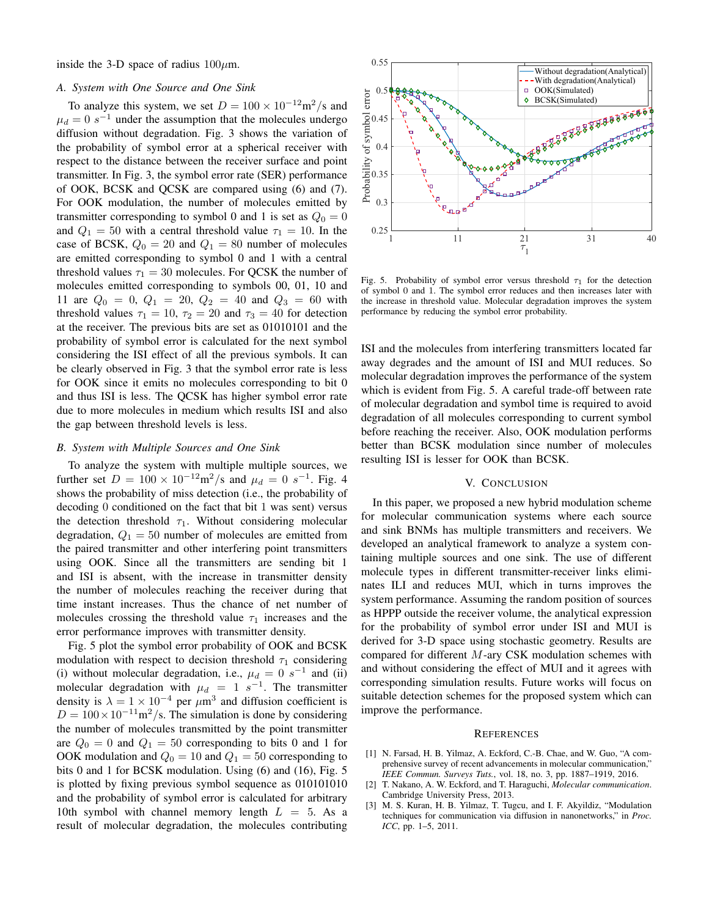inside the 3-D space of radius  $100 \mu$ m.

## *A. System with One Source and One Sink*

To analyze this system, we set  $D = 100 \times 10^{-12} \text{m}^2/\text{s}$  and  $\mu_d = 0$  s<sup>-1</sup> under the assumption that the molecules undergo diffusion without degradation. Fig. 3 shows the variation of the probability of symbol error at a spherical receiver with respect to the distance between the receiver surface and point transmitter. In Fig. 3, the symbol error rate (SER) performance of OOK, BCSK and QCSK are compared using (6) and (7). For OOK modulation, the number of molecules emitted by transmitter corresponding to symbol 0 and 1 is set as  $Q_0 = 0$ and  $Q_1 = 50$  with a central threshold value  $\tau_1 = 10$ . In the case of BCSK,  $Q_0 = 20$  and  $Q_1 = 80$  number of molecules are emitted corresponding to symbol 0 and 1 with a central threshold values  $\tau_1 = 30$  molecules. For QCSK the number of molecules emitted corresponding to symbols 00, 01, 10 and 11 are  $Q_0 = 0$ ,  $Q_1 = 20$ ,  $Q_2 = 40$  and  $Q_3 = 60$  with threshold values  $\tau_1 = 10$ ,  $\tau_2 = 20$  and  $\tau_3 = 40$  for detection at the receiver. The previous bits are set as 01010101 and the probability of symbol error is calculated for the next symbol considering the ISI effect of all the previous symbols. It can be clearly observed in Fig. 3 that the symbol error rate is less for OOK since it emits no molecules corresponding to bit 0 and thus ISI is less. The QCSK has higher symbol error rate due to more molecules in medium which results ISI and also the gap between threshold levels is less.

### *B. System with Multiple Sources and One Sink*

To analyze the system with multiple multiple sources, we further set  $D = 100 \times 10^{-12} \text{m}^2/\text{s}$  and  $\mu_d = 0 \text{ s}^{-1}$ . Fig. 4 shows the probability of miss detection (i.e., the probability of decoding 0 conditioned on the fact that bit 1 was sent) versus the detection threshold  $\tau_1$ . Without considering molecular degradation,  $Q_1 = 50$  number of molecules are emitted from the paired transmitter and other interfering point transmitters using OOK. Since all the transmitters are sending bit 1 and ISI is absent, with the increase in transmitter density the number of molecules reaching the receiver during that time instant increases. Thus the chance of net number of molecules crossing the threshold value  $\tau_1$  increases and the error performance improves with transmitter density.

Fig. 5 plot the symbol error probability of OOK and BCSK modulation with respect to decision threshold  $\tau_1$  considering (i) without molecular degradation, i.e.,  $\mu_d = 0$  s<sup>-1</sup> and (ii) molecular degradation with  $\mu_d = 1 \ s^{-1}$ . The transmitter density is  $\lambda = 1 \times 10^{-4}$  per  $\mu$ m<sup>3</sup> and diffusion coefficient is  $D = 100 \times 10^{-11}$  m<sup>2</sup>/s. The simulation is done by considering the number of molecules transmitted by the point transmitter are  $Q_0 = 0$  and  $Q_1 = 50$  corresponding to bits 0 and 1 for OOK modulation and  $Q_0 = 10$  and  $Q_1 = 50$  corresponding to bits 0 and 1 for BCSK modulation. Using (6) and (16), Fig. 5 is plotted by fixing previous symbol sequence as 010101010 and the probability of symbol error is calculated for arbitrary 10th symbol with channel memory length  $L = 5$ . As a result of molecular degradation, the molecules contributing



Fig. 5. Probability of symbol error versus threshold  $\tau_1$  for the detection of symbol 0 and 1. The symbol error reduces and then increases later with the increase in threshold value. Molecular degradation improves the system performance by reducing the symbol error probability.

ISI and the molecules from interfering transmitters located far away degrades and the amount of ISI and MUI reduces. So molecular degradation improves the performance of the system which is evident from Fig. 5. A careful trade-off between rate of molecular degradation and symbol time is required to avoid degradation of all molecules corresponding to current symbol before reaching the receiver. Also, OOK modulation performs better than BCSK modulation since number of molecules resulting ISI is lesser for OOK than BCSK.

## V. CONCLUSION

In this paper, we proposed a new hybrid modulation scheme for molecular communication systems where each source and sink BNMs has multiple transmitters and receivers. We developed an analytical framework to analyze a system containing multiple sources and one sink. The use of different molecule types in different transmitter-receiver links eliminates ILI and reduces MUI, which in turns improves the system performance. Assuming the random position of sources as HPPP outside the receiver volume, the analytical expression for the probability of symbol error under ISI and MUI is derived for 3-D space using stochastic geometry. Results are compared for different  $M$ -ary CSK modulation schemes with and without considering the effect of MUI and it agrees with corresponding simulation results. Future works will focus on suitable detection schemes for the proposed system which can improve the performance.

#### **REFERENCES**

- [1] N. Farsad, H. B. Yilmaz, A. Eckford, C.-B. Chae, and W. Guo, "A comprehensive survey of recent advancements in molecular communication," *IEEE Commun. Surveys Tuts.*, vol. 18, no. 3, pp. 1887–1919, 2016.
- [2] T. Nakano, A. W. Eckford, and T. Haraguchi, *Molecular communication*. Cambridge University Press, 2013.
- [3] M. S. Kuran, H. B. Yilmaz, T. Tugcu, and I. F. Akyildiz, "Modulation techniques for communication via diffusion in nanonetworks," in *Proc. ICC*, pp. 1–5, 2011.